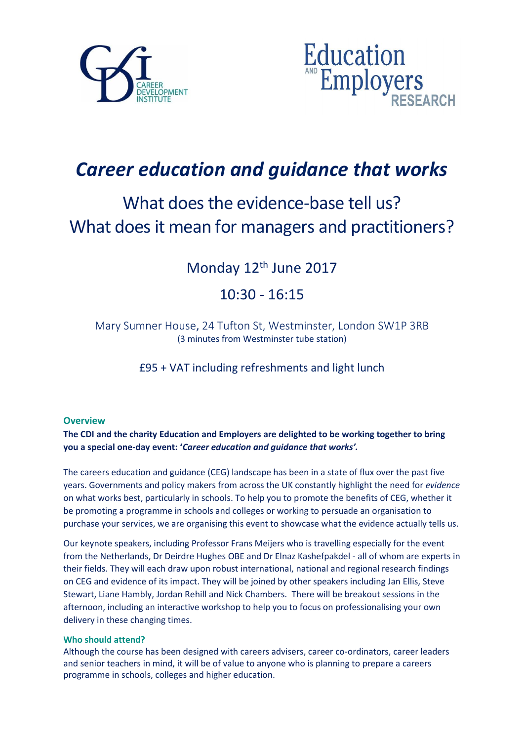



# *Career education and guidance that works*

# What does the evidence-base tell us? What does it mean for managers and practitioners?

## Monday 12<sup>th</sup> June 2017

## 10:30 - 16:15

Mary Sumner House, 24 Tufton St, Westminster, London SW1P 3RB (3 minutes from Westminster tube station)

£95 + VAT including refreshments and light lunch

### **Overview**

**The CDI and the charity Education and Employers are delighted to be working together to bring you a special one-day event: '***Career education and guidance that works'.* 

The careers education and guidance (CEG) landscape has been in a state of flux over the past five years. Governments and policy makers from across the UK constantly highlight the need for *evidence* on what works best, particularly in schools. To help you to promote the benefits of CEG, whether it be promoting a programme in schools and colleges or working to persuade an organisation to purchase your services, we are organising this event to showcase what the evidence actually tells us.

Our keynote speakers, including Professor Frans Meijers who is travelling especially for the event from the Netherlands, Dr Deirdre Hughes OBE and Dr Elnaz Kashefpakdel - all of whom are experts in their fields. They will each draw upon robust international, national and regional research findings on CEG and evidence of its impact. They will be joined by other speakers including Jan Ellis, Steve Stewart, Liane Hambly, Jordan Rehill and Nick Chambers. There will be breakout sessions in the afternoon, including an interactive workshop to help you to focus on professionalising your own delivery in these changing times.

### **Who should attend?**

Although the course has been designed with careers advisers, career co-ordinators, career leaders and senior teachers in mind, it will be of value to anyone who is planning to prepare a careers programme in schools, colleges and higher education.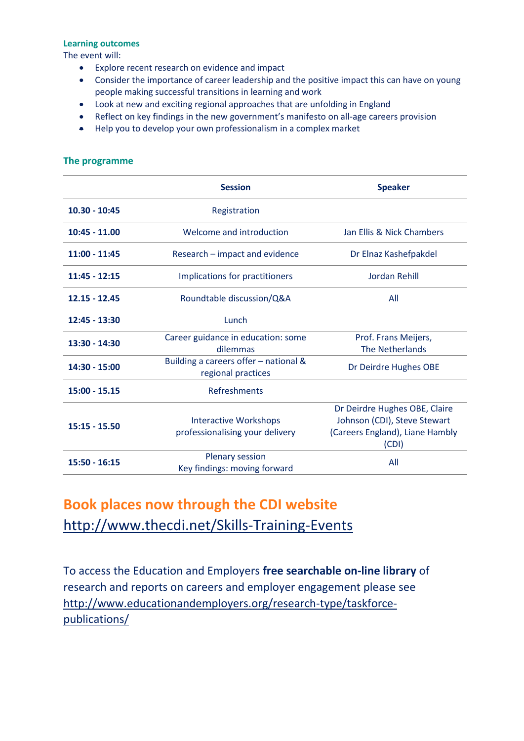#### **Learning outcomes**

The event will:

- Explore recent research on evidence and impact
- Consider the importance of career leadership and the positive impact this can have on young people making successful transitions in learning and work
- Look at new and exciting regional approaches that are unfolding in England
- Reflect on key findings in the new government's manifesto on all-age careers provision
- Help you to develop your own professionalism in a complex market

|                 | <b>Session</b>                                                  | <b>Speaker</b>                                                                                            |
|-----------------|-----------------------------------------------------------------|-----------------------------------------------------------------------------------------------------------|
| $10.30 - 10:45$ | Registration                                                    |                                                                                                           |
| $10:45 - 11.00$ | Welcome and introduction                                        | Jan Ellis & Nick Chambers                                                                                 |
| $11:00 - 11:45$ | Research – impact and evidence                                  | Dr Elnaz Kashefpakdel                                                                                     |
| $11:45 - 12:15$ | Implications for practitioners                                  | <b>Jordan Rehill</b>                                                                                      |
| $12.15 - 12.45$ | Roundtable discussion/Q&A                                       | All                                                                                                       |
| 12:45 - 13:30   | Lunch                                                           |                                                                                                           |
| 13:30 - 14:30   | Career guidance in education: some<br>dilemmas                  | Prof. Frans Meijers,<br>The Netherlands                                                                   |
| 14:30 - 15:00   | Building a careers offer - national &<br>regional practices     | Dr Deirdre Hughes OBE                                                                                     |
| $15:00 - 15.15$ | Refreshments                                                    |                                                                                                           |
| $15:15 - 15.50$ | <b>Interactive Workshops</b><br>professionalising your delivery | Dr Deirdre Hughes OBE, Claire<br>Johnson (CDI), Steve Stewart<br>(Careers England), Liane Hambly<br>(CDI) |
| 15:50 - 16:15   | Plenary session<br>Key findings: moving forward                 | All                                                                                                       |

#### **The programme**

# **Book places now through the CDI website**  <http://www.thecdi.net/Skills-Training-Events>

To access the Education and Employers **free searchable on-line library** of research and reports on careers and employer engagement please see [http://www.educationandemployers.org/research-type/taskforce](http://www.educationandemployers.org/research-type/taskforce-publications/)[publications/](http://www.educationandemployers.org/research-type/taskforce-publications/)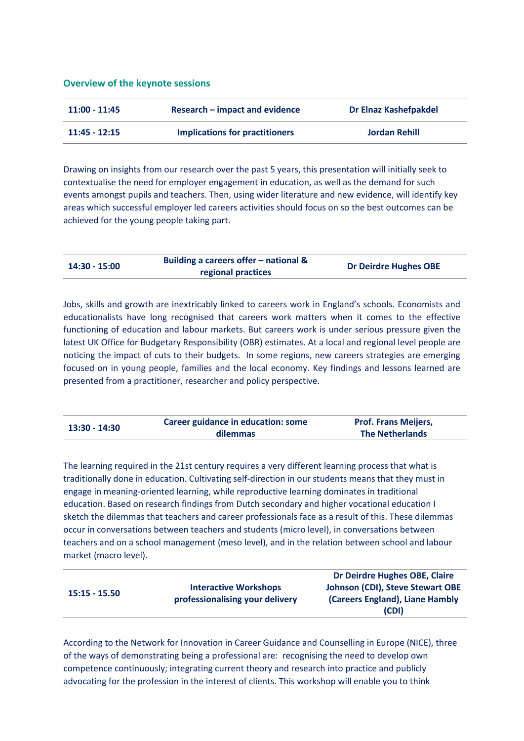#### **Overview of the keynote sessions**

| 11:00 - 11:45   | Research – impact and evidence | <b>Dr Elnaz Kashefpakdel</b> |
|-----------------|--------------------------------|------------------------------|
| $11:45 - 12:15$ | Implications for practitioners | <b>Jordan Rehill</b>         |

Drawing on insights from our research over the past 5 years, this presentation will initially seek to contextualise the need for employer engagement in education, as well as the demand for such events amongst pupils and teachers. Then, using wider literature and new evidence, will identify key areas which successful employer led careers activities should focus on so the best outcomes can be achieved for the young people taking part.

| $14:30 - 15:00$ | Building a careers offer – national & | <b>Dr Deirdre Hughes OBE</b> |
|-----------------|---------------------------------------|------------------------------|
|                 | regional practices                    |                              |

Jobs, skills and growth are inextricably linked to careers work in England's schools. Economists and educationalists have long recognised that careers work matters when it comes to the effective functioning of education and labour markets. But careers work is under serious pressure given the latest UK Office for Budgetary Responsibility (OBR) estimates. At a local and regional level people are noticing the impact of cuts to their budgets. In some regions, new careers strategies are emerging focused on in young people, families and the local economy. Key findings and lessons learned are presented from a practitioner, researcher and policy perspective.

| 13:30 - 14:30 | Career guidance in education: some | <b>Prof. Frans Meijers,</b> |
|---------------|------------------------------------|-----------------------------|
|               | dilemmas                           | <b>The Netherlands</b>      |

The learning required in the 21st century requires a very different learning process that what is traditionally done in education. Cultivating self-direction in our students means that they must in engage in meaning-oriented learning, while reproductive learning dominates in traditional education. Based on research findings from Dutch secondary and higher vocational education I sketch the dilemmas that teachers and career professionals face as a result of this. These dilemmas occur in conversations between teachers and students (micro level), in conversations between teachers and on a school management (meso level), and in the relation between school and labour market (macro level).

|               |                                 | Dr Deirdre Hughes OBE, Claire           |
|---------------|---------------------------------|-----------------------------------------|
| 15:15 - 15.50 | <b>Interactive Workshops</b>    | <b>Johnson (CDI), Steve Stewart OBE</b> |
|               | professionalising your delivery | (Careers England), Liane Hambly         |
|               |                                 | (CDI)                                   |

According to the Network for Innovation in Career Guidance and Counselling in Europe (NICE), three of the ways of demonstrating being a professional are: recognising the need to develop own competence continuously; integrating current theory and research into practice and publicly advocating for the profession in the interest of clients. This workshop will enable you to think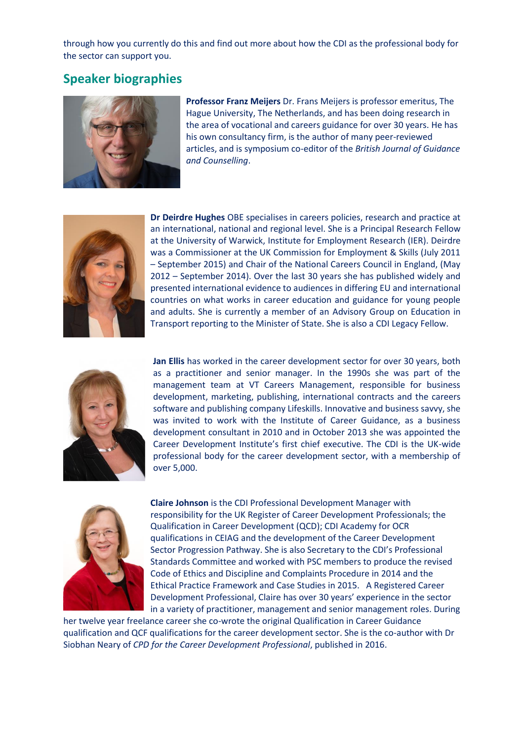through how you currently do this and find out more about how the CDI as the professional body for the sector can support you.

### **Speaker biographies**



**Professor Franz Meijers** Dr. Frans Meijers is professor emeritus, The Hague University, The Netherlands, and has been doing research in the area of vocational and careers guidance for over 30 years. He has his own consultancy firm, is the author of many peer-reviewed articles, and is symposium co-editor of the *British Journal of Guidance and Counselling*.



**Dr Deirdre Hughes** OBE specialises in careers policies, research and practice at an international, national and regional level. She is a Principal Research Fellow at the University of Warwick, Institute for Employment Research (IER). Deirdre was a Commissioner at the UK Commission for Employment & Skills (July 2011 – September 2015) and Chair of the National Careers Council in England, (May 2012 – September 2014). Over the last 30 years she has published widely and presented international evidence to audiences in differing EU and international countries on what works in career education and guidance for young people and adults. She is currently a member of an Advisory Group on Education in Transport reporting to the Minister of State. She is also a CDI Legacy Fellow.



**Jan Ellis** has worked in the career development sector for over 30 years, both as a practitioner and senior manager. In the 1990s she was part of the management team at VT Careers Management, responsible for business development, marketing, publishing, international contracts and the careers software and publishing company Lifeskills. Innovative and business savvy, she was invited to work with the Institute of Career Guidance, as a business development consultant in 2010 and in October 2013 she was appointed the Career Development Institute's first chief executive. The CDI is the UK-wide professional body for the career development sector, with a membership of over 5,000.



**Claire Johnson** is the CDI Professional Development Manager with responsibility for the UK Register of Career Development Professionals; the Qualification in Career Development (QCD); CDI Academy for OCR qualifications in CEIAG and the development of the Career Development Sector Progression Pathway. She is also Secretary to the CDI's Professional Standards Committee and worked with PSC members to produce the revised Code of Ethics and Discipline and Complaints Procedure in 2014 and the Ethical Practice Framework and Case Studies in 2015. A Registered Career Development Professional, Claire has over 30 years' experience in the sector in a variety of practitioner, management and senior management roles. During

her twelve year freelance career she co-wrote the original Qualification in Career Guidance qualification and QCF qualifications for the career development sector. She is the co-author with Dr Siobhan Neary of *CPD for the Career Development Professional*, published in 2016.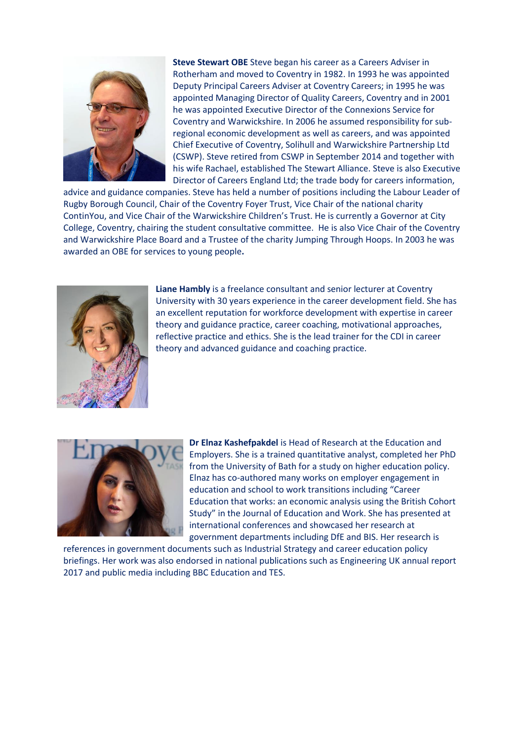

**Steve Stewart OBE** Steve began his career as a Careers Adviser in Rotherham and moved to Coventry in 1982. In 1993 he was appointed Deputy Principal Careers Adviser at Coventry Careers; in 1995 he was appointed Managing Director of Quality Careers, Coventry and in 2001 he was appointed Executive Director of the Connexions Service for Coventry and Warwickshire. In 2006 he assumed responsibility for subregional economic development as well as careers, and was appointed Chief Executive of Coventry, Solihull and Warwickshire Partnership Ltd (CSWP). Steve retired from CSWP in September 2014 and together with his wife Rachael, established The Stewart Alliance. Steve is also Executive Director of Careers England Ltd; the trade body for careers information,

advice and guidance companies. Steve has held a number of positions including the Labour Leader of Rugby Borough Council, Chair of the Coventry Foyer Trust, Vice Chair of the national charity ContinYou, and Vice Chair of the Warwickshire Children's Trust. He is currently a Governor at City College, Coventry, chairing the student consultative committee. He is also Vice Chair of the Coventry and Warwickshire Place Board and a Trustee of the charity Jumping Through Hoops. In 2003 he was awarded an OBE for services to young people**.** 



**Liane Hambly** is a freelance consultant and senior lecturer at Coventry University with 30 years experience in the career development field. She has an excellent reputation for workforce development with expertise in career theory and guidance practice, career coaching, motivational approaches, reflective practice and ethics. She is the lead trainer for the CDI in career theory and advanced guidance and coaching practice.



**Dr Elnaz Kashefpakdel** is Head of Research at the Education and Employers. She is a trained quantitative analyst, completed her PhD from the University of Bath for a study on higher education policy. Elnaz has co-authored many works on employer engagement in education and school to work transitions including "Career Education that works: an economic analysis using the British Cohort Study" in the Journal of Education and Work. She has presented at international conferences and showcased her research at government departments including DfE and BIS. Her research is

references in government documents such as Industrial Strategy and career education policy briefings. Her work was also endorsed in national publications such as Engineering UK annual report 2017 and public media including BBC Education and TES.